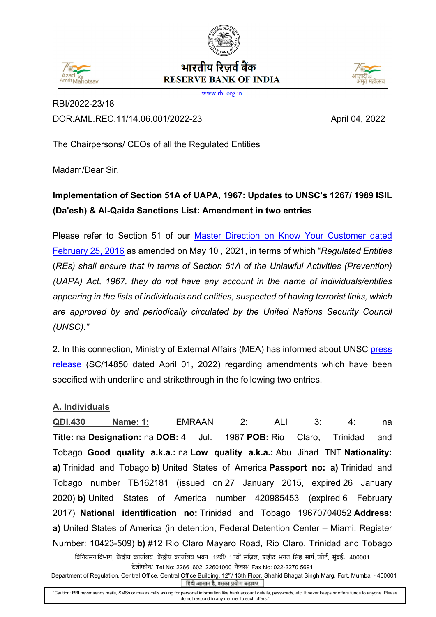

## $172d$ tMahoteau

## भारतीय रिजर्व बैंक **RESERVE BANK OF INDIA**



www.rbi.org.in

RBI/2022-23/18 DOR.AML.REC.11/14.06.001/2022-23 April 04, 2022

The Chairpersons/ CEOs of all the Regulated Entities

Madam/Dear Sir,

# **Implementation of Section 51A of UAPA, 1967: Updates to UNSC's 1267/ 1989 ISIL (Da'esh) & Al-Qaida Sanctions List: Amendment in two entries**

Please refer to Section 51 of our [Master Direction on Know Your Customer dated](https://www.rbi.org.in/Scripts/BS_ViewMasDirections.aspx?id=11566)  [February 25, 2016](https://www.rbi.org.in/Scripts/BS_ViewMasDirections.aspx?id=11566) as amended on May 10 , 2021, in terms of which "*Regulated Entities* (*REs) shall ensure that in terms of Section 51A of the Unlawful Activities (Prevention) (UAPA) Act, 1967, they do not have any account in the name of individuals/entities appearing in the lists of individuals and entities, suspected of having terrorist links, which are approved by and periodically circulated by the United Nations Security Council (UNSC)."*

2. In this connection, Ministry of External Affairs (MEA) has informed about UNSC press [release](https://rbidocs.rbi.org.in/rdocs/content/pdfs/PRUNSC01042022.pdf) (SC/14850 dated April 01, 2022) regarding amendments which have been specified with underline and strikethrough in the following two entries.

### **A. Individuals**

**QDi.430 Name: 1:** EMRAAN 2: ALI 3: 4: na **Title:** na **Designation:** na **DOB:** 4 Jul. 1967 **POB:** Rio Claro, Trinidad and Tobago **Good quality a.k.a.:** na **Low quality a.k.a.:** Abu Jihad TNT **Nationality: a)** Trinidad and Tobago **b)** United States of America **Passport no: a)** Trinidad and Tobago number TB162181 (issued on 27 January 2015, expired 26 January 2020) **b)** United States of America number 420985453 (expired 6 February 2017) **National identification no:** Trinidad and Tobago 19670704052 **Address: a)** United States of America (in detention, Federal Detention Center – Miami, Register Number: 10423-509) **b)** #12 Rio Claro Mayaro Road, Rio Claro, Trinidad and Tobago

विनियमन विभाग, केंद्रीय कार्यालय, केंद्रीय कार्यालय भवन, 12वीं/ 13वीं मंज़िल, शहीद भगत सिंह मार्ग, फोर्ट, मुंबई- 400001 टेलीफोन/ Tel No: 22661602, 22601000 फै �/ Fax No: 022-2270 5691

Department of Regulation, Central Office, Central Office Building, 12<sup>th</sup>/ 13th Floor, Shahid Bhagat Singh Marg, Fort, Mumbai - 400001 हिंदी आसान है, इसका प्रयोग बढ़ाइए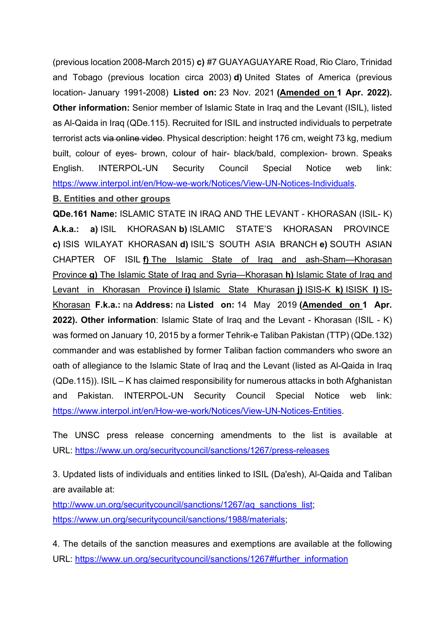(previous location 2008-March 2015) **c)** #7 GUAYAGUAYARE Road, Rio Claro, Trinidad and Tobago (previous location circa 2003) **d)** United States of America (previous location- January 1991-2008) **Listed on:** 23 Nov. 2021 **(Amended on 1 Apr. 2022). Other information:** Senior member of Islamic State in Iraq and the Levant (ISIL), listed as Al-Qaida in Iraq (QDe.115). Recruited for ISIL and instructed individuals to perpetrate terrorist acts via online video. Physical description: height 176 cm, weight 73 kg, medium built, colour of eyes- brown, colour of hair- black/bald, complexion- brown. Speaks English. INTERPOL-UN Security Council Special Notice web link: [https://www.interpol.int/en/How-we-work/Notices/View-UN-Notices-Individuals.](https://www.interpol.int/en/How-we-work/Notices/View-UN-Notices-Individuals)

#### **B. Entities and other groups**

**QDe.161 Name:** ISLAMIC STATE IN IRAQ AND THE LEVANT - KHORASAN (ISIL- K) **A.k.a.: a)** ISIL KHORASAN **b)** ISLAMIC STATE'S KHORASAN PROVINCE **c)** ISIS WILAYAT KHORASAN **d)** ISIL'S SOUTH ASIA BRANCH **e)** SOUTH ASIAN CHAPTER OF ISIL **f)** The Islamic State of Iraq and ash-Sham—Khorasan Province **g)** The Islamic State of Iraq and Syria—Khorasan **h)** Islamic State of Iraq and Levant in Khorasan Province **i)** Islamic State Khurasan **j)** ISIS-K **k)** ISISK **l)** IS-Khorasan **F.k.a.:** na **Address:** na **Listed on:** 14 May 2019 **(Amended on 1 Apr. 2022). Other information**: Islamic State of Iraq and the Levant - Khorasan (ISIL - K) was formed on January 10, 2015 by a former Tehrik-e Taliban Pakistan (TTP) (QDe.132) commander and was established by former Taliban faction commanders who swore an oath of allegiance to the Islamic State of Iraq and the Levant (listed as Al-Qaida in Iraq (QDe.115)). ISIL – K has claimed responsibility for numerous attacks in both Afghanistan and Pakistan. INTERPOL-UN Security Council Special Notice web link: [https://www.interpol.int/en/How-we-work/Notices/View-UN-Notices-Entities.](https://www.interpol.int/en/How-we-work/Notices/View-UN-Notices-Entities)

The UNSC press release concerning amendments to the list is available at URL: <https://www.un.org/securitycouncil/sanctions/1267/press-releases>

3. Updated lists of individuals and entities linked to ISIL (Da'esh), Al-Qaida and Taliban are available at:

[http://www.un.org/securitycouncil/sanctions/1267/aq\\_sanctions\\_list;](http://www.un.org/securitycouncil/sanctions/1267/aq_sanctions_list) [https://www.un.org/securitycouncil/sanctions/1988/materials;](https://www.un.org/securitycouncil/sanctions/1988/materials)

4. The details of the sanction measures and exemptions are available at the following URL: [https://www.un.org/securitycouncil/sanctions/1267#further\\_information](https://www.un.org/securitycouncil/sanctions/1267#further_information)